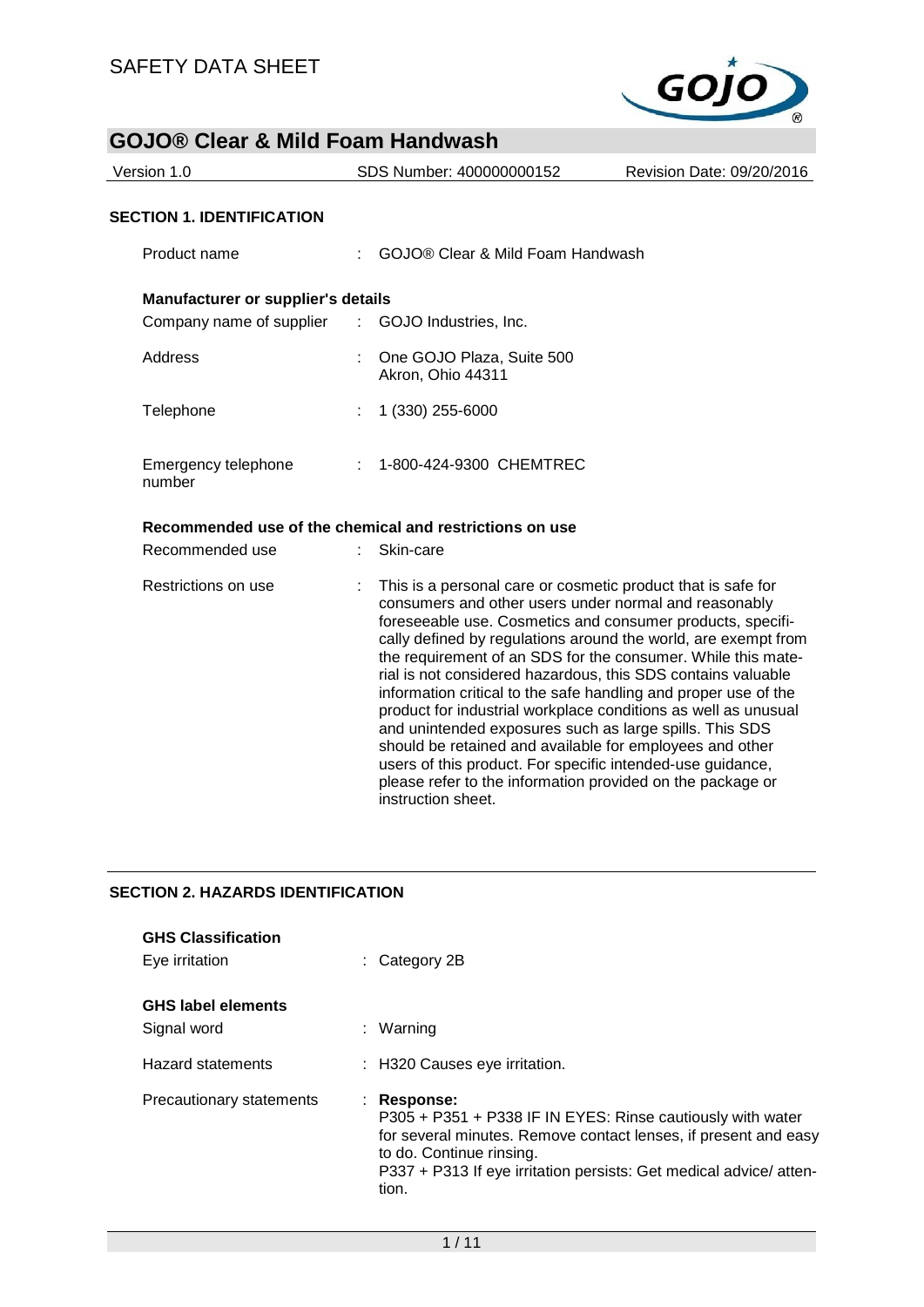

| Version 1.0                                             |    | SDS Number: 400000000152                                                                                                                                                                                                                                                                                                                                                                                                                                                                                                                                                                                                                                                                                        | Revision Date: 09/20/2016 |  |
|---------------------------------------------------------|----|-----------------------------------------------------------------------------------------------------------------------------------------------------------------------------------------------------------------------------------------------------------------------------------------------------------------------------------------------------------------------------------------------------------------------------------------------------------------------------------------------------------------------------------------------------------------------------------------------------------------------------------------------------------------------------------------------------------------|---------------------------|--|
| <b>SECTION 1. IDENTIFICATION</b>                        |    |                                                                                                                                                                                                                                                                                                                                                                                                                                                                                                                                                                                                                                                                                                                 |                           |  |
| Product name                                            |    | GOJO® Clear & Mild Foam Handwash                                                                                                                                                                                                                                                                                                                                                                                                                                                                                                                                                                                                                                                                                |                           |  |
| Manufacturer or supplier's details                      |    |                                                                                                                                                                                                                                                                                                                                                                                                                                                                                                                                                                                                                                                                                                                 |                           |  |
| Company name of supplier                                | t. | GOJO Industries, Inc.                                                                                                                                                                                                                                                                                                                                                                                                                                                                                                                                                                                                                                                                                           |                           |  |
| Address                                                 |    | One GOJO Plaza, Suite 500<br>Akron, Ohio 44311                                                                                                                                                                                                                                                                                                                                                                                                                                                                                                                                                                                                                                                                  |                           |  |
| Telephone                                               |    | 1 (330) 255-6000                                                                                                                                                                                                                                                                                                                                                                                                                                                                                                                                                                                                                                                                                                |                           |  |
| Emergency telephone<br>number                           |    | 1-800-424-9300 CHEMTREC                                                                                                                                                                                                                                                                                                                                                                                                                                                                                                                                                                                                                                                                                         |                           |  |
| Recommended use of the chemical and restrictions on use |    |                                                                                                                                                                                                                                                                                                                                                                                                                                                                                                                                                                                                                                                                                                                 |                           |  |
| Recommended use                                         |    | Skin-care                                                                                                                                                                                                                                                                                                                                                                                                                                                                                                                                                                                                                                                                                                       |                           |  |
| Restrictions on use                                     |    | This is a personal care or cosmetic product that is safe for<br>consumers and other users under normal and reasonably<br>foreseeable use. Cosmetics and consumer products, specifi-<br>cally defined by regulations around the world, are exempt from<br>the requirement of an SDS for the consumer. While this mate-<br>rial is not considered hazardous, this SDS contains valuable<br>information critical to the safe handling and proper use of the<br>product for industrial workplace conditions as well as unusual<br>and unintended exposures such as large spills. This SDS<br>should be retained and available for employees and other<br>users of this product. For specific intended-use guidance, |                           |  |

instruction sheet.

### **SECTION 2. HAZARDS IDENTIFICATION**

| <b>GHS Classification</b><br>Eye irritation | $\therefore$ Category 2B                                                                                                                                                                                                                               |
|---------------------------------------------|--------------------------------------------------------------------------------------------------------------------------------------------------------------------------------------------------------------------------------------------------------|
| <b>GHS label elements</b><br>Signal word    | : Warning                                                                                                                                                                                                                                              |
| <b>Hazard statements</b>                    | : H320 Causes eye irritation.                                                                                                                                                                                                                          |
| Precautionary statements                    | : Response:<br>P305 + P351 + P338 IF IN EYES: Rinse cautiously with water<br>for several minutes. Remove contact lenses, if present and easy<br>to do. Continue rinsing.<br>P337 + P313 If eye irritation persists: Get medical advice/atten-<br>tion. |

please refer to the information provided on the package or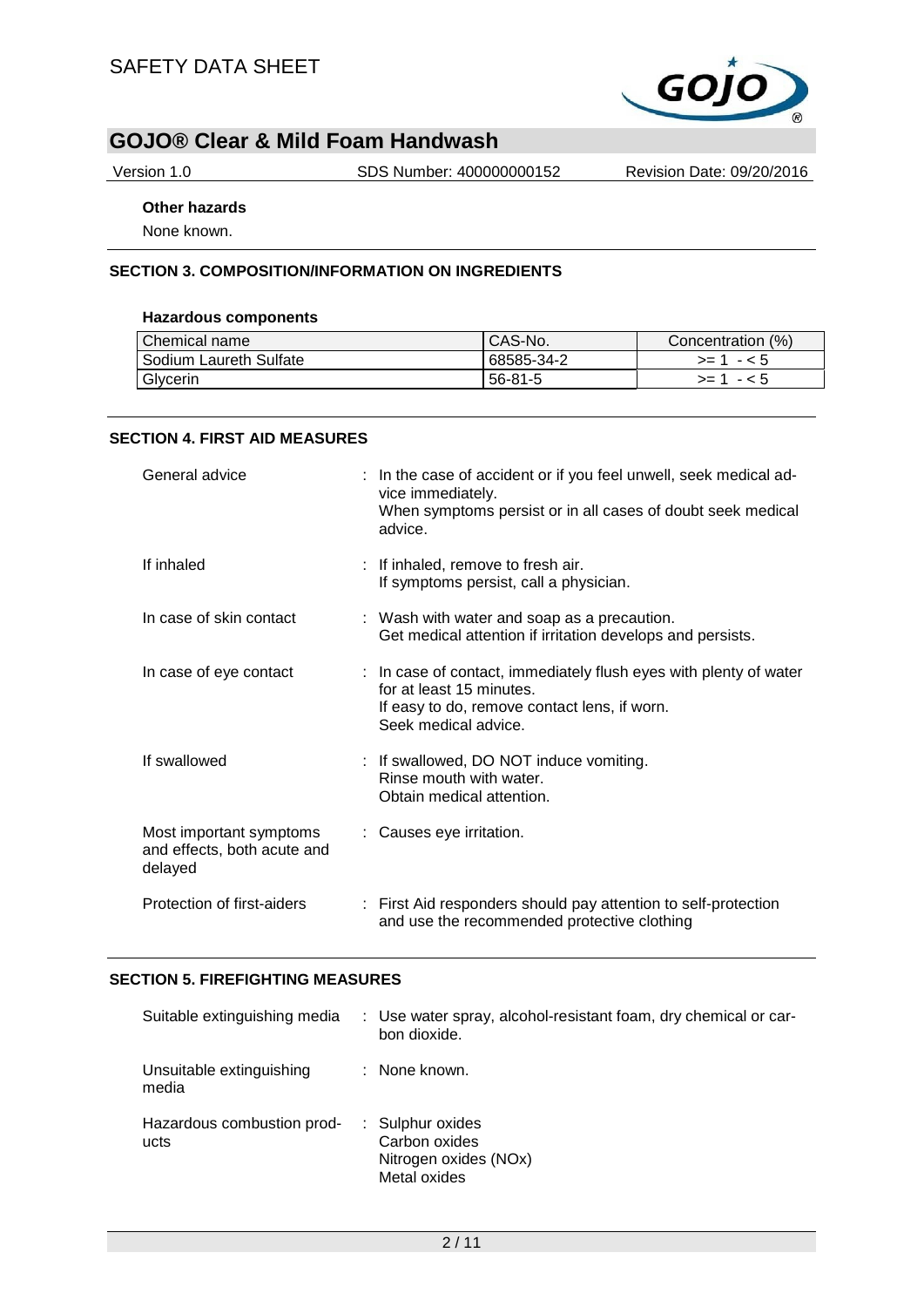

Version 1.0 SDS Number: 400000000152 Revision Date: 09/20/2016

## **Other hazards**

None known.

### **SECTION 3. COMPOSITION/INFORMATION ON INGREDIENTS**

### **Hazardous components**

| Chemical name          | CAS-No.       | Concentration (%) |
|------------------------|---------------|-------------------|
| Sodium Laureth Sulfate | 68585-34-2    | $>= 1 - 5$        |
| Glycerin               | $56 - 81 - 5$ | - < 5<br>>= 1     |

### **SECTION 4. FIRST AID MEASURES**

| General advice                                                    | : In the case of accident or if you feel unwell, seek medical ad-<br>vice immediately.<br>When symptoms persist or in all cases of doubt seek medical<br>advice.      |
|-------------------------------------------------------------------|-----------------------------------------------------------------------------------------------------------------------------------------------------------------------|
| If inhaled                                                        | : If inhaled, remove to fresh air.<br>If symptoms persist, call a physician.                                                                                          |
| In case of skin contact                                           | : Wash with water and soap as a precaution.<br>Get medical attention if irritation develops and persists.                                                             |
| In case of eye contact                                            | : In case of contact, immediately flush eyes with plenty of water<br>for at least 15 minutes.<br>If easy to do, remove contact lens, if worn.<br>Seek medical advice. |
| If swallowed                                                      | : If swallowed, DO NOT induce vomiting.<br>Rinse mouth with water.<br>Obtain medical attention.                                                                       |
| Most important symptoms<br>and effects, both acute and<br>delayed | : Causes eye irritation.                                                                                                                                              |
| Protection of first-aiders                                        | : First Aid responders should pay attention to self-protection<br>and use the recommended protective clothing                                                         |

### **SECTION 5. FIREFIGHTING MEASURES**

| Suitable extinguishing media       | : Use water spray, alcohol-resistant foam, dry chemical or car-<br>bon dioxide. |
|------------------------------------|---------------------------------------------------------------------------------|
| Unsuitable extinguishing<br>media  | : None known.                                                                   |
| Hazardous combustion prod-<br>ucts | : Sulphur oxides<br>Carbon oxides<br>Nitrogen oxides (NOx)<br>Metal oxides      |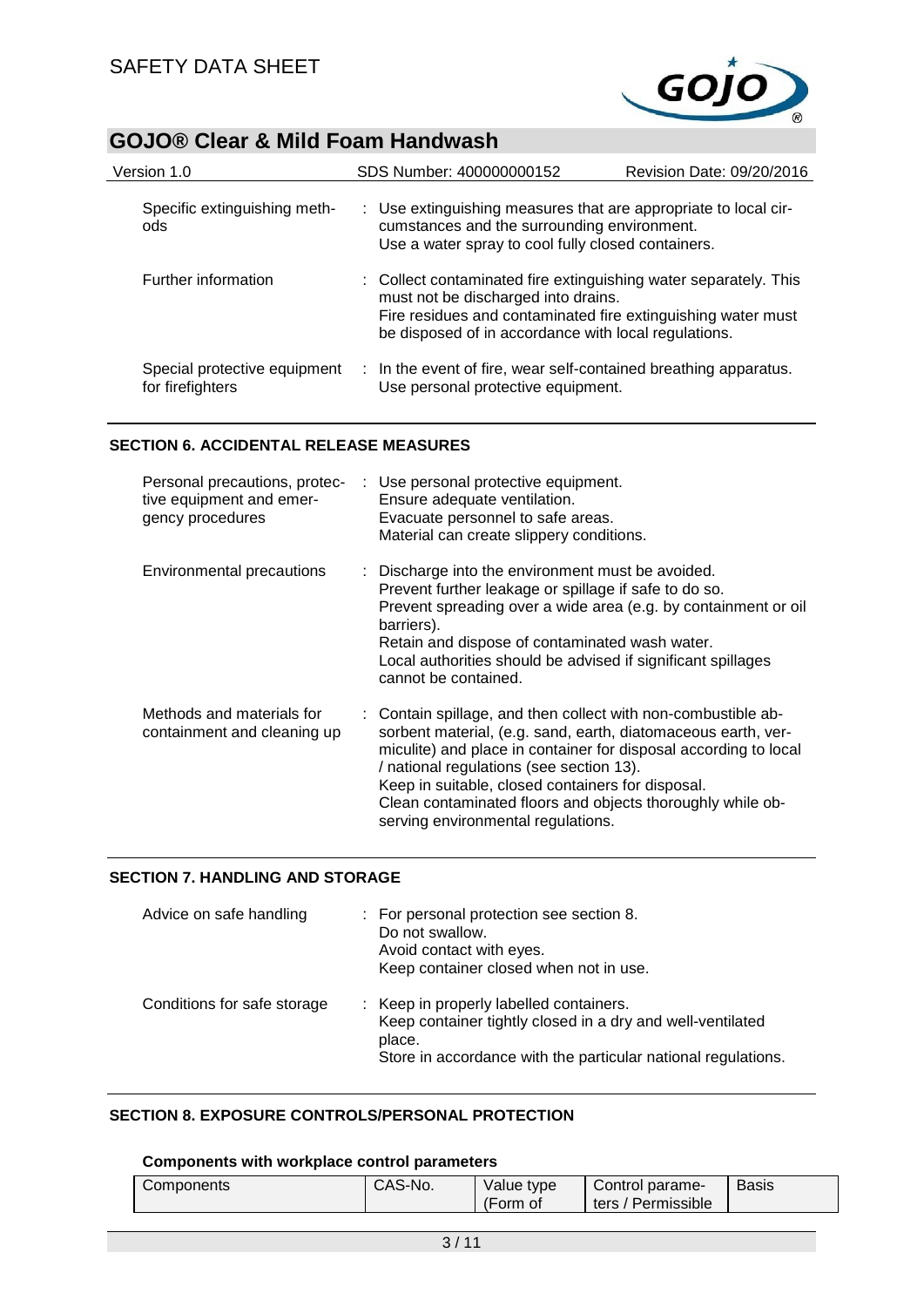$\overline{a}$ 



# **GOJO® Clear & Mild Foam Handwash**

| Version 1.0                                      | SDS Number: 400000000152                                                                                                                                             | Revision Date: 09/20/2016                                    |
|--------------------------------------------------|----------------------------------------------------------------------------------------------------------------------------------------------------------------------|--------------------------------------------------------------|
| Specific extinguishing meth-<br>ods              | : Use extinguishing measures that are appropriate to local cir-<br>cumstances and the surrounding environment.<br>Use a water spray to cool fully closed containers. |                                                              |
| Further information                              | : Collect contaminated fire extinguishing water separately. This<br>must not be discharged into drains.<br>be disposed of in accordance with local regulations.      | Fire residues and contaminated fire extinguishing water must |
| Special protective equipment<br>for firefighters | : In the event of fire, wear self-contained breathing apparatus.<br>Use personal protective equipment.                                                               |                                                              |

### **SECTION 6. ACCIDENTAL RELEASE MEASURES**

| Personal precautions, protec-<br>tive equipment and emer-<br>gency procedures | : Use personal protective equipment.<br>Ensure adequate ventilation.<br>Evacuate personnel to safe areas.<br>Material can create slippery conditions.                                                                                                                                                                                                                                                   |
|-------------------------------------------------------------------------------|---------------------------------------------------------------------------------------------------------------------------------------------------------------------------------------------------------------------------------------------------------------------------------------------------------------------------------------------------------------------------------------------------------|
| Environmental precautions                                                     | : Discharge into the environment must be avoided.<br>Prevent further leakage or spillage if safe to do so.<br>Prevent spreading over a wide area (e.g. by containment or oil<br>barriers).<br>Retain and dispose of contaminated wash water.<br>Local authorities should be advised if significant spillages<br>cannot be contained.                                                                    |
| Methods and materials for<br>containment and cleaning up                      | : Contain spillage, and then collect with non-combustible ab-<br>sorbent material, (e.g. sand, earth, diatomaceous earth, ver-<br>miculite) and place in container for disposal according to local<br>/ national regulations (see section 13).<br>Keep in suitable, closed containers for disposal.<br>Clean contaminated floors and objects thoroughly while ob-<br>serving environmental regulations. |

### **SECTION 7. HANDLING AND STORAGE**

| Advice on safe handling     | : For personal protection see section 8.<br>Do not swallow.<br>Avoid contact with eyes.<br>Keep container closed when not in use.                                                |
|-----------------------------|----------------------------------------------------------------------------------------------------------------------------------------------------------------------------------|
| Conditions for safe storage | : Keep in properly labelled containers.<br>Keep container tightly closed in a dry and well-ventilated<br>place.<br>Store in accordance with the particular national regulations. |

### **SECTION 8. EXPOSURE CONTROLS/PERSONAL PROTECTION**

### **Components with workplace control parameters**

| CAS-No.    | Value type | Control parame-    | <b>Basis</b> |
|------------|------------|--------------------|--------------|
| Components | (Form of   | ters / Permissible |              |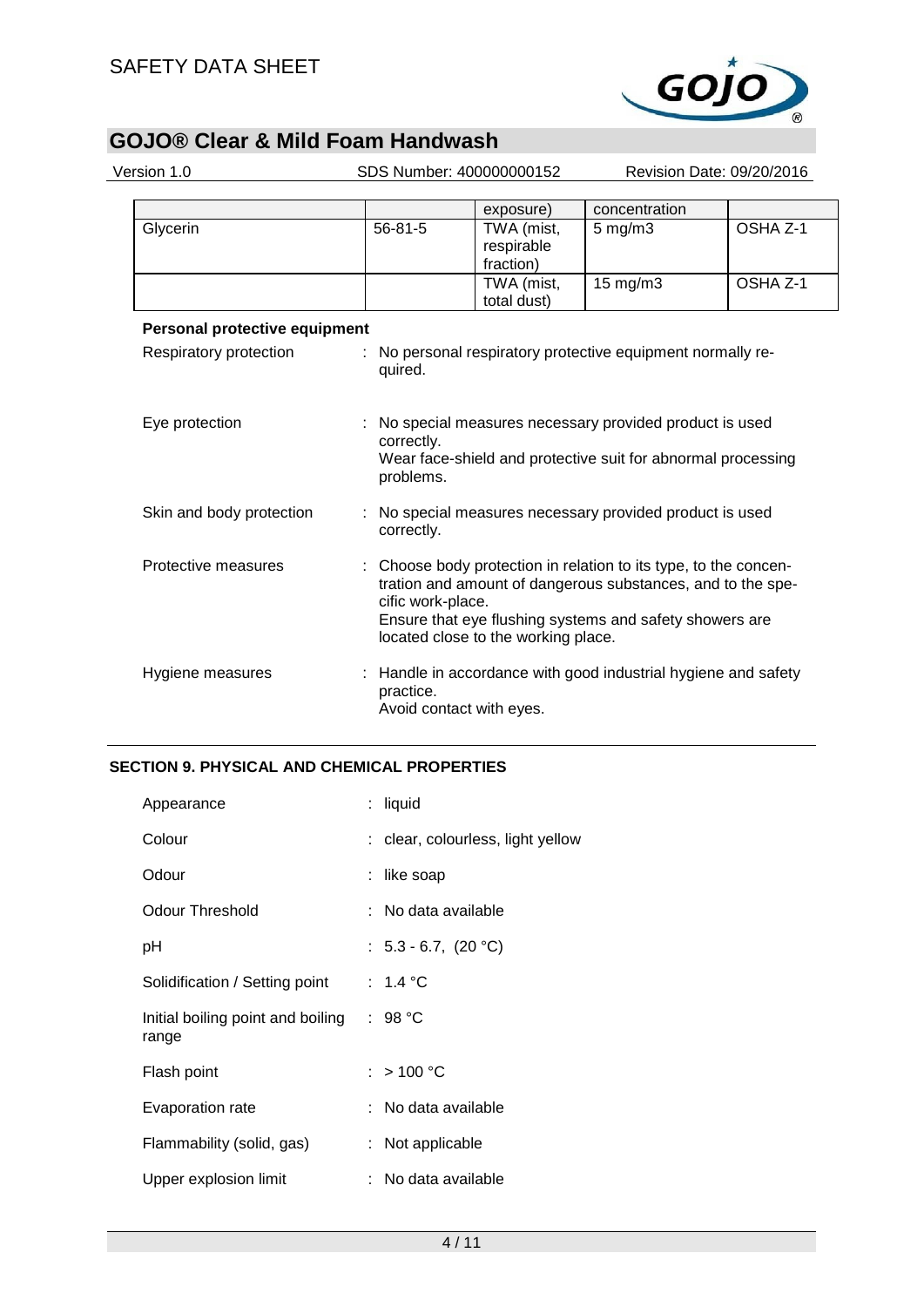

| Version 1.0                   | SDS Number: 400000000152 |                                                                                                                                                                                                                                                      | Revision Date: 09/20/2016 |                     |
|-------------------------------|--------------------------|------------------------------------------------------------------------------------------------------------------------------------------------------------------------------------------------------------------------------------------------------|---------------------------|---------------------|
|                               |                          | exposure)                                                                                                                                                                                                                                            | concentration             |                     |
| Glycerin                      | $56 - 81 - 5$            | TWA (mist,<br>respirable<br>fraction)                                                                                                                                                                                                                | $5$ mg/m $3$              | OSHA Z-1            |
|                               |                          | TWA (mist,<br>total dust)                                                                                                                                                                                                                            | 15 mg/m3                  | OSHA <sub>Z-1</sub> |
| Personal protective equipment |                          |                                                                                                                                                                                                                                                      |                           |                     |
| Respiratory protection        | quired.                  | No personal respiratory protective equipment normally re-                                                                                                                                                                                            |                           |                     |
| Eye protection                | correctly.               | No special measures necessary provided product is used<br>Wear face-shield and protective suit for abnormal processing<br>problems.                                                                                                                  |                           |                     |
| Skin and body protection      | correctly.               | : No special measures necessary provided product is used                                                                                                                                                                                             |                           |                     |
| Protective measures           |                          | Choose body protection in relation to its type, to the concen-<br>tration and amount of dangerous substances, and to the spe-<br>cific work-place.<br>Ensure that eye flushing systems and safety showers are<br>located close to the working place. |                           |                     |
| Hygiene measures              | practice.                | : Handle in accordance with good industrial hygiene and safety<br>Avoid contact with eyes.                                                                                                                                                           |                           |                     |

## **SECTION 9. PHYSICAL AND CHEMICAL PROPERTIES**

| Appearance                                 | : liquid                          |
|--------------------------------------------|-----------------------------------|
| Colour                                     | : clear, colourless, light yellow |
| Odour                                      | : like soap                       |
| <b>Odour Threshold</b>                     | : No data available               |
| рH                                         | : $5.3 - 6.7$ , $(20 °C)$         |
| Solidification / Setting point             | : $1.4 °C$                        |
| Initial boiling point and boiling<br>range | : 98 $^{\circ}$ C                 |
| Flash point                                | : $> 100 °C$                      |
| Evaporation rate                           | : No data available               |
| Flammability (solid, gas)                  | : Not applicable                  |
| Upper explosion limit                      | : No data available               |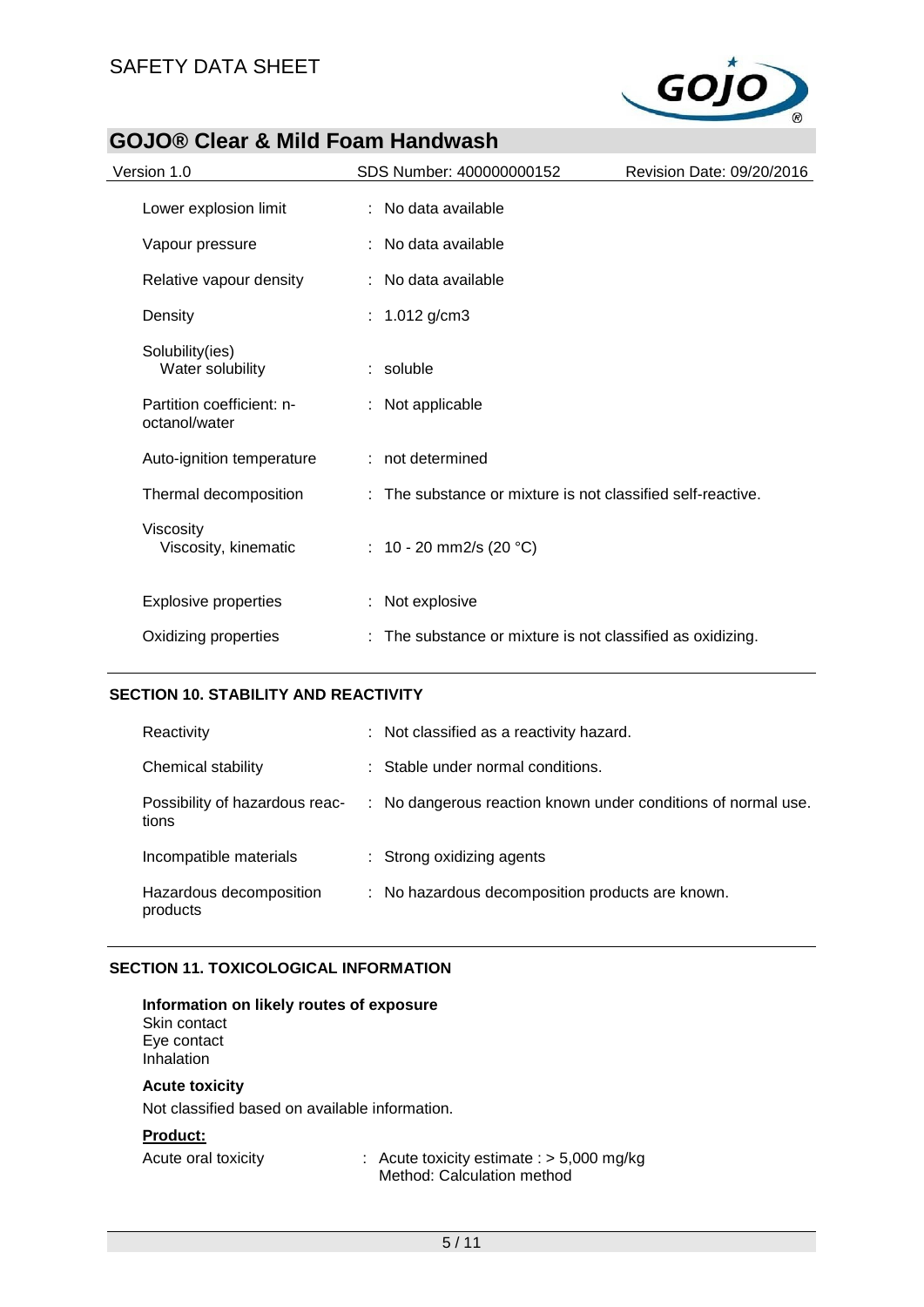

| Version 1.0                                | SDS Number: 400000000152                                    | Revision Date: 09/20/2016 |
|--------------------------------------------|-------------------------------------------------------------|---------------------------|
| Lower explosion limit                      | : No data available                                         |                           |
| Vapour pressure                            | : No data available                                         |                           |
| Relative vapour density                    | : No data available                                         |                           |
| Density                                    | : $1.012$ g/cm3                                             |                           |
| Solubility(ies)<br>Water solubility        | $:$ soluble                                                 |                           |
| Partition coefficient: n-<br>octanol/water | : Not applicable                                            |                           |
| Auto-ignition temperature                  | : not determined                                            |                           |
| Thermal decomposition                      | : The substance or mixture is not classified self-reactive. |                           |
| Viscosity<br>Viscosity, kinematic          | : 10 - 20 mm2/s (20 $^{\circ}$ C)                           |                           |
| <b>Explosive properties</b>                | : Not explosive                                             |                           |
| Oxidizing properties                       | The substance or mixture is not classified as oxidizing.    |                           |
|                                            |                                                             |                           |

### **SECTION 10. STABILITY AND REACTIVITY**

| Reactivity                              | : Not classified as a reactivity hazard.                      |
|-----------------------------------------|---------------------------------------------------------------|
| Chemical stability                      | : Stable under normal conditions.                             |
| Possibility of hazardous reac-<br>tions | : No dangerous reaction known under conditions of normal use. |
| Incompatible materials                  | : Strong oxidizing agents                                     |
| Hazardous decomposition<br>products     | : No hazardous decomposition products are known.              |

### **SECTION 11. TOXICOLOGICAL INFORMATION**

| Information on likely routes of exposure |  |
|------------------------------------------|--|
| Skin contact                             |  |
| Eye contact                              |  |

Inhalation

## **Acute toxicity**

Not classified based on available information.

### **Product:**

Acute oral toxicity : Acute toxicity estimate : > 5,000 mg/kg Method: Calculation method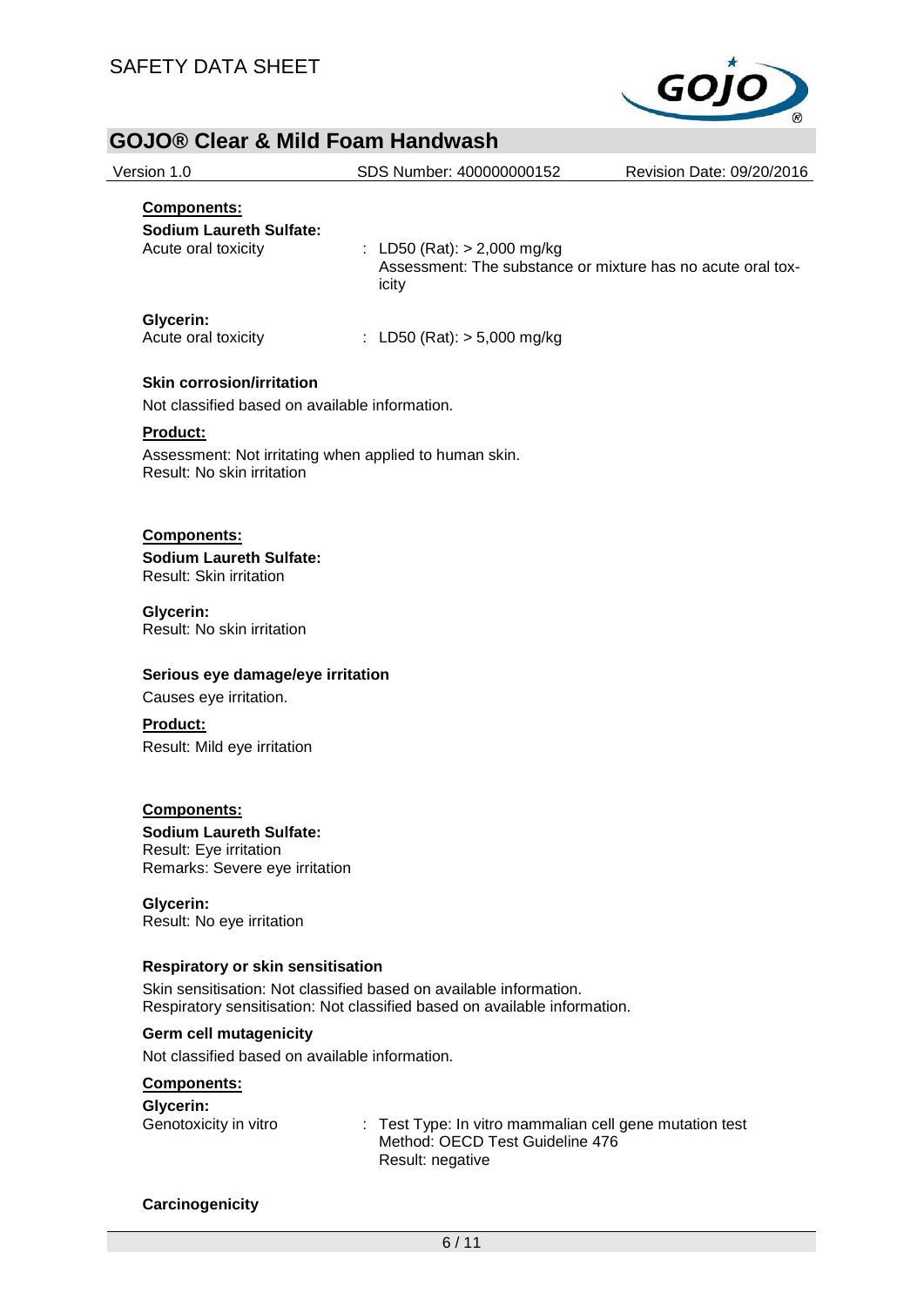

| <b>GOJO® Clear &amp; Mild Foam Handwash</b>                                          |                                                                                                                                                 |                           |
|--------------------------------------------------------------------------------------|-------------------------------------------------------------------------------------------------------------------------------------------------|---------------------------|
| Version 1.0                                                                          | SDS Number: 400000000152                                                                                                                        | Revision Date: 09/20/2016 |
| Components:                                                                          |                                                                                                                                                 |                           |
| <b>Sodium Laureth Sulfate:</b>                                                       |                                                                                                                                                 |                           |
| Acute oral toxicity                                                                  | : LD50 (Rat): $> 2,000$ mg/kg<br>Assessment: The substance or mixture has no acute oral tox-<br>icity                                           |                           |
| Glycerin:<br>Acute oral toxicity                                                     | : LD50 (Rat): $> 5,000$ mg/kg                                                                                                                   |                           |
| <b>Skin corrosion/irritation</b>                                                     |                                                                                                                                                 |                           |
| Not classified based on available information.                                       |                                                                                                                                                 |                           |
| Product:                                                                             |                                                                                                                                                 |                           |
| Assessment: Not irritating when applied to human skin.<br>Result: No skin irritation |                                                                                                                                                 |                           |
| Components:                                                                          |                                                                                                                                                 |                           |
| <b>Sodium Laureth Sulfate:</b><br>Result: Skin irritation                            |                                                                                                                                                 |                           |
| Glycerin:<br>Result: No skin irritation                                              |                                                                                                                                                 |                           |
| Serious eye damage/eye irritation                                                    |                                                                                                                                                 |                           |
| Causes eye irritation.                                                               |                                                                                                                                                 |                           |
| <b>Product:</b>                                                                      |                                                                                                                                                 |                           |
| Result: Mild eye irritation                                                          |                                                                                                                                                 |                           |
| <b>Components:</b>                                                                   |                                                                                                                                                 |                           |
| <b>Sodium Laureth Sulfate:</b>                                                       |                                                                                                                                                 |                           |
| Result: Eye irritation<br>Remarks: Severe eye irritation                             |                                                                                                                                                 |                           |
| Glycerin:<br>Result: No eye irritation                                               |                                                                                                                                                 |                           |
| <b>Respiratory or skin sensitisation</b>                                             |                                                                                                                                                 |                           |
|                                                                                      | Skin sensitisation: Not classified based on available information.<br>Respiratory sensitisation: Not classified based on available information. |                           |
| Germ cell mutagenicity                                                               |                                                                                                                                                 |                           |
| Not classified based on available information.                                       |                                                                                                                                                 |                           |
| <b>Components:</b>                                                                   |                                                                                                                                                 |                           |
| Glycerin:<br>Genotoxicity in vitro                                                   | : Test Type: In vitro mammalian cell gene mutation test                                                                                         |                           |

Result: negative

Method: OECD Test Guideline 476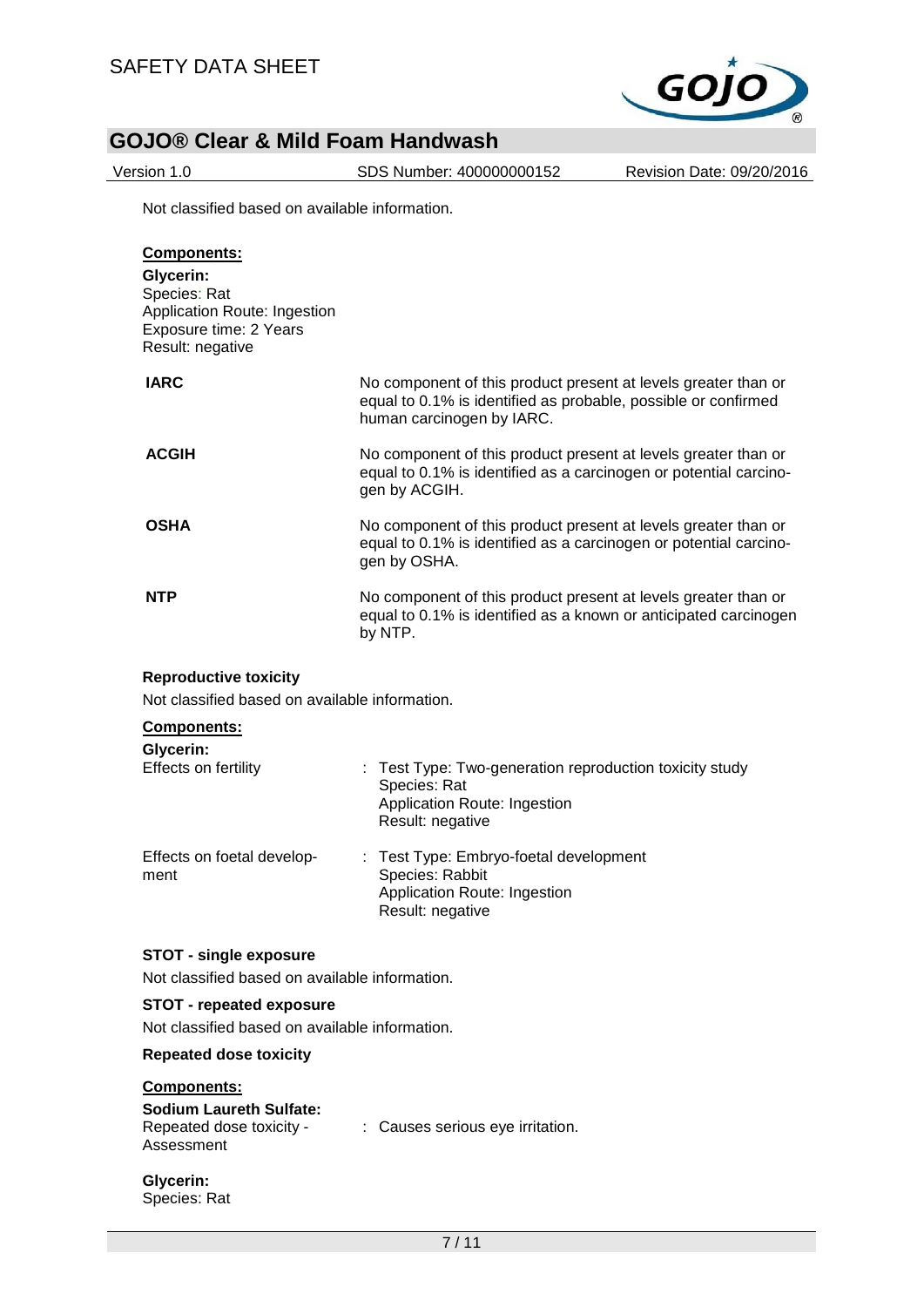

Version 1.0 SDS Number: 400000000152 Revision Date: 09/20/2016

Not classified based on available information.

| <b>Components:</b><br>Glycerin:<br>Species: Rat<br>Application Route: Ingestion<br>Exposure time: 2 Years<br>Result: negative |                                                                                                                                                               |
|-------------------------------------------------------------------------------------------------------------------------------|---------------------------------------------------------------------------------------------------------------------------------------------------------------|
| <b>IARC</b>                                                                                                                   | No component of this product present at levels greater than or<br>equal to 0.1% is identified as probable, possible or confirmed<br>human carcinogen by IARC. |
| <b>ACGIH</b>                                                                                                                  | No component of this product present at levels greater than or<br>equal to 0.1% is identified as a carcinogen or potential carcino-<br>gen by ACGIH.          |
| <b>OSHA</b>                                                                                                                   | No component of this product present at levels greater than or<br>equal to 0.1% is identified as a carcinogen or potential carcino-<br>gen by OSHA.           |
| <b>NTP</b>                                                                                                                    | No component of this product present at levels greater than or<br>equal to 0.1% is identified as a known or anticipated carcinogen<br>by NTP.                 |

### **Reproductive toxicity**

Not classified based on available information.

### **Components: Glycerin:**

| <b>OIVGHILL</b>                    |                                                                                                                             |
|------------------------------------|-----------------------------------------------------------------------------------------------------------------------------|
| Effects on fertility               | : Test Type: Two-generation reproduction toxicity study<br>Species: Rat<br>Application Route: Ingestion<br>Result: negative |
| Effects on foetal develop-<br>ment | : Test Type: Embryo-foetal development<br>Species: Rabbit<br>Application Route: Ingestion<br>Result: negative               |

### **STOT - single exposure**

Not classified based on available information.

### **STOT - repeated exposure**

Not classified based on available information.

### **Repeated dose toxicity**

### **Components:**

| <b>Sodium Laureth Sulfate:</b> |
|--------------------------------|
| Repeated dose toxicity -       |
| Assessment                     |

- : Causes serious eye irritation.
- **Glycerin:** Species: Rat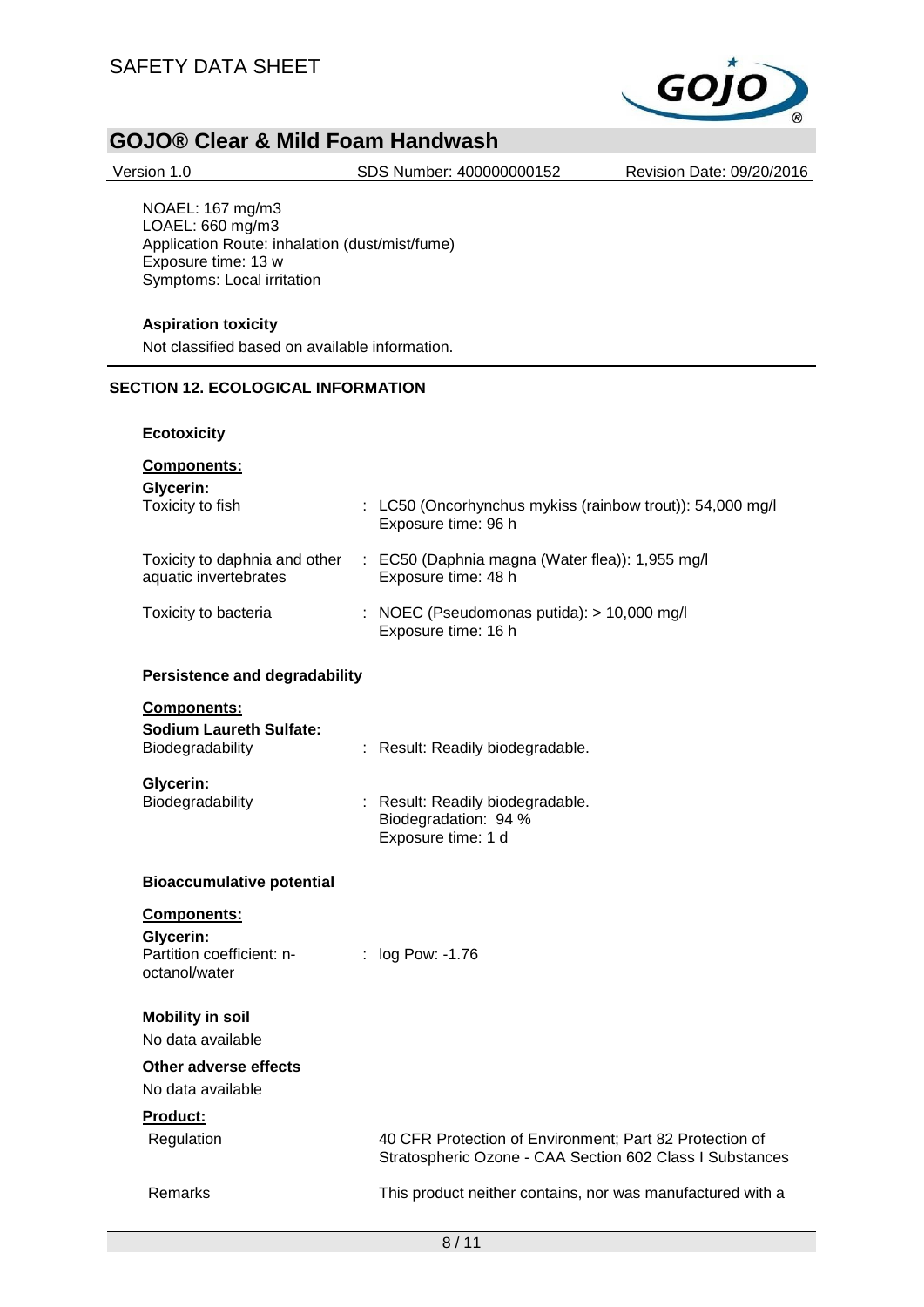

Version 1.0 SDS Number: 400000000152 Revision Date: 09/20/2016

NOAEL: 167 mg/m3 LOAEL: 660 mg/m3 Application Route: inhalation (dust/mist/fume) Exposure time: 13 w Symptoms: Local irritation

### **Aspiration toxicity**

Not classified based on available information.

### **SECTION 12. ECOLOGICAL INFORMATION**

### **Ecotoxicity**

## **Components:**

| Glycerin: |  |  |
|-----------|--|--|
|           |  |  |

| Toxicity to fish                                       | $\therefore$ LC50 (Oncorhynchus mykiss (rainbow trout)): 54,000 mg/l<br>Exposure time: 96 h |
|--------------------------------------------------------|---------------------------------------------------------------------------------------------|
| Toxicity to daphnia and other<br>aquatic invertebrates | $\therefore$ EC50 (Daphnia magna (Water flea)): 1,955 mg/l<br>Exposure time: 48 h           |
| Toxicity to bacteria                                   | : NOEC (Pseudomonas putida): $> 10,000$ mg/l<br>Exposure time: 16 h                         |

### **Persistence and degradability**

| <b>Components:</b>                                 |                                                                                |
|----------------------------------------------------|--------------------------------------------------------------------------------|
| <b>Sodium Laureth Sulfate:</b><br>Biodegradability | : Result: Readily biodegradable.                                               |
| Glycerin:<br>Biodegradability                      | : Result: Readily biodegradable.<br>Biodegradation: 94 %<br>Exposure time: 1 d |

### **Bioaccumulative potential**

| <b>Components:</b>                         |                                                                                                                     |
|--------------------------------------------|---------------------------------------------------------------------------------------------------------------------|
| Glycerin:                                  |                                                                                                                     |
| Partition coefficient: n-<br>octanol/water | $:$ log Pow: -1.76                                                                                                  |
| <b>Mobility in soil</b>                    |                                                                                                                     |
| No data available                          |                                                                                                                     |
| Other adverse effects                      |                                                                                                                     |
| No data available                          |                                                                                                                     |
| Product:                                   |                                                                                                                     |
| Regulation                                 | 40 CFR Protection of Environment; Part 82 Protection of<br>Stratospheric Ozone - CAA Section 602 Class I Substances |
| Remarks                                    | This product neither contains, nor was manufactured with a                                                          |
|                                            | 8/11                                                                                                                |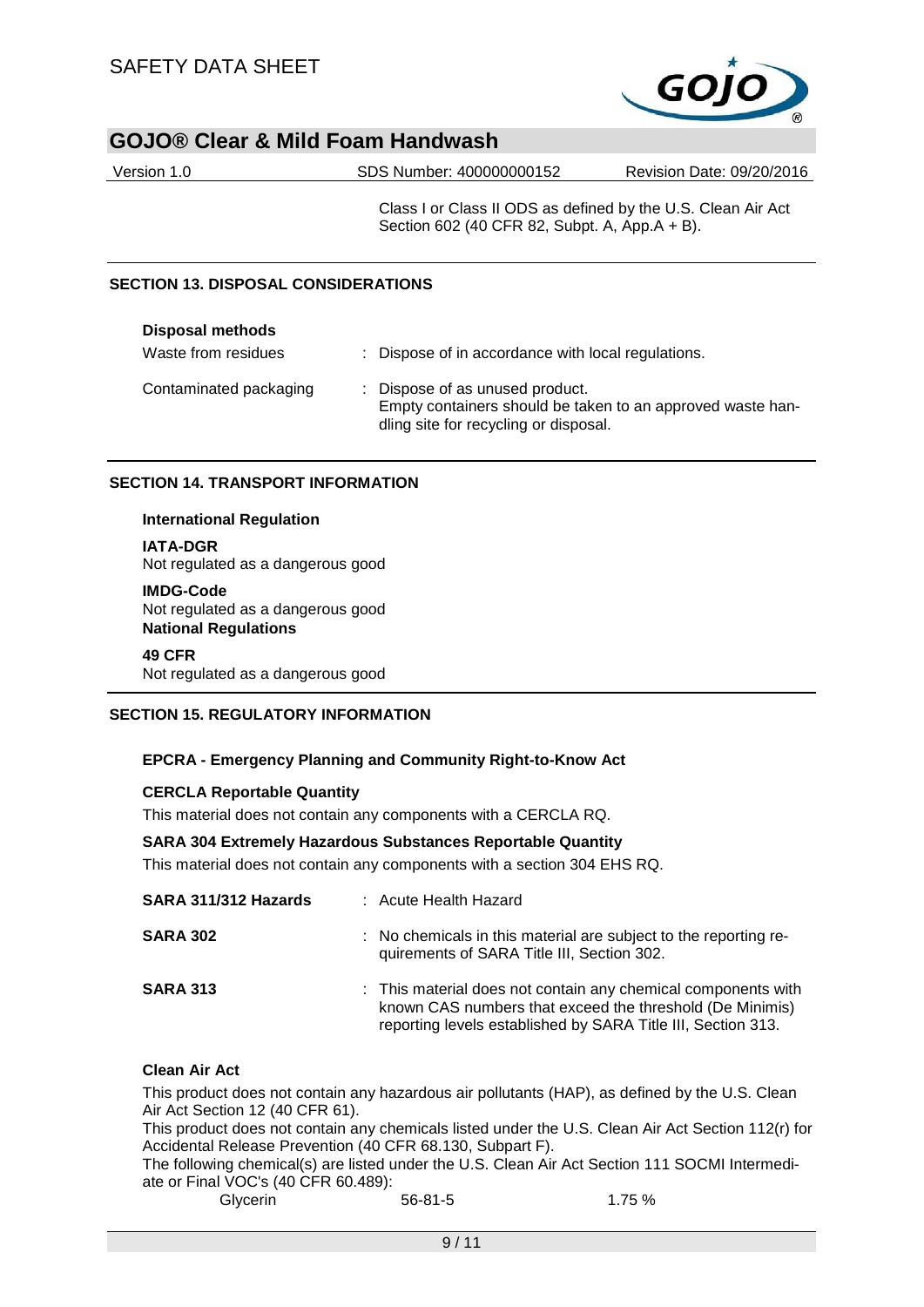

| Version 1.0 | SDS Number: 400000000152 | Revision Date: 09/20/2016 |
|-------------|--------------------------|---------------------------|
|             |                          |                           |

Class I or Class II ODS as defined by the U.S. Clean Air Act Section 602 (40 CFR 82, Subpt. A, App.A + B).

### **SECTION 13. DISPOSAL CONSIDERATIONS**

| <b>Disposal methods</b> |                                                                                                                                        |
|-------------------------|----------------------------------------------------------------------------------------------------------------------------------------|
| Waste from residues     | : Dispose of in accordance with local regulations.                                                                                     |
| Contaminated packaging  | : Dispose of as unused product.<br>Empty containers should be taken to an approved waste han-<br>dling site for recycling or disposal. |

### **SECTION 14. TRANSPORT INFORMATION**

### **International Regulation**

### **IATA-DGR**

Not regulated as a dangerous good

### **IMDG-Code**

Not regulated as a dangerous good **National Regulations**

### **49 CFR**

Not regulated as a dangerous good

### **SECTION 15. REGULATORY INFORMATION**

### **EPCRA - Emergency Planning and Community Right-to-Know Act**

### **CERCLA Reportable Quantity**

This material does not contain any components with a CERCLA RQ.

### **SARA 304 Extremely Hazardous Substances Reportable Quantity**

This material does not contain any components with a section 304 EHS RQ.

| SARA 311/312 Hazards | : Acute Health Hazard                                                                                                                                                                     |
|----------------------|-------------------------------------------------------------------------------------------------------------------------------------------------------------------------------------------|
| <b>SARA 302</b>      | : No chemicals in this material are subject to the reporting re-<br>quirements of SARA Title III, Section 302.                                                                            |
| <b>SARA 313</b>      | : This material does not contain any chemical components with<br>known CAS numbers that exceed the threshold (De Minimis)<br>reporting levels established by SARA Title III, Section 313. |

### **Clean Air Act**

This product does not contain any hazardous air pollutants (HAP), as defined by the U.S. Clean Air Act Section 12 (40 CFR 61).

This product does not contain any chemicals listed under the U.S. Clean Air Act Section 112(r) for Accidental Release Prevention (40 CFR 68.130, Subpart F).

The following chemical(s) are listed under the U.S. Clean Air Act Section 111 SOCMI Intermediate or Final VOC's (40 CFR 60.489):

| Glycerin | $56 - 81 - 5$ | 1.75 % |
|----------|---------------|--------|
|          |               |        |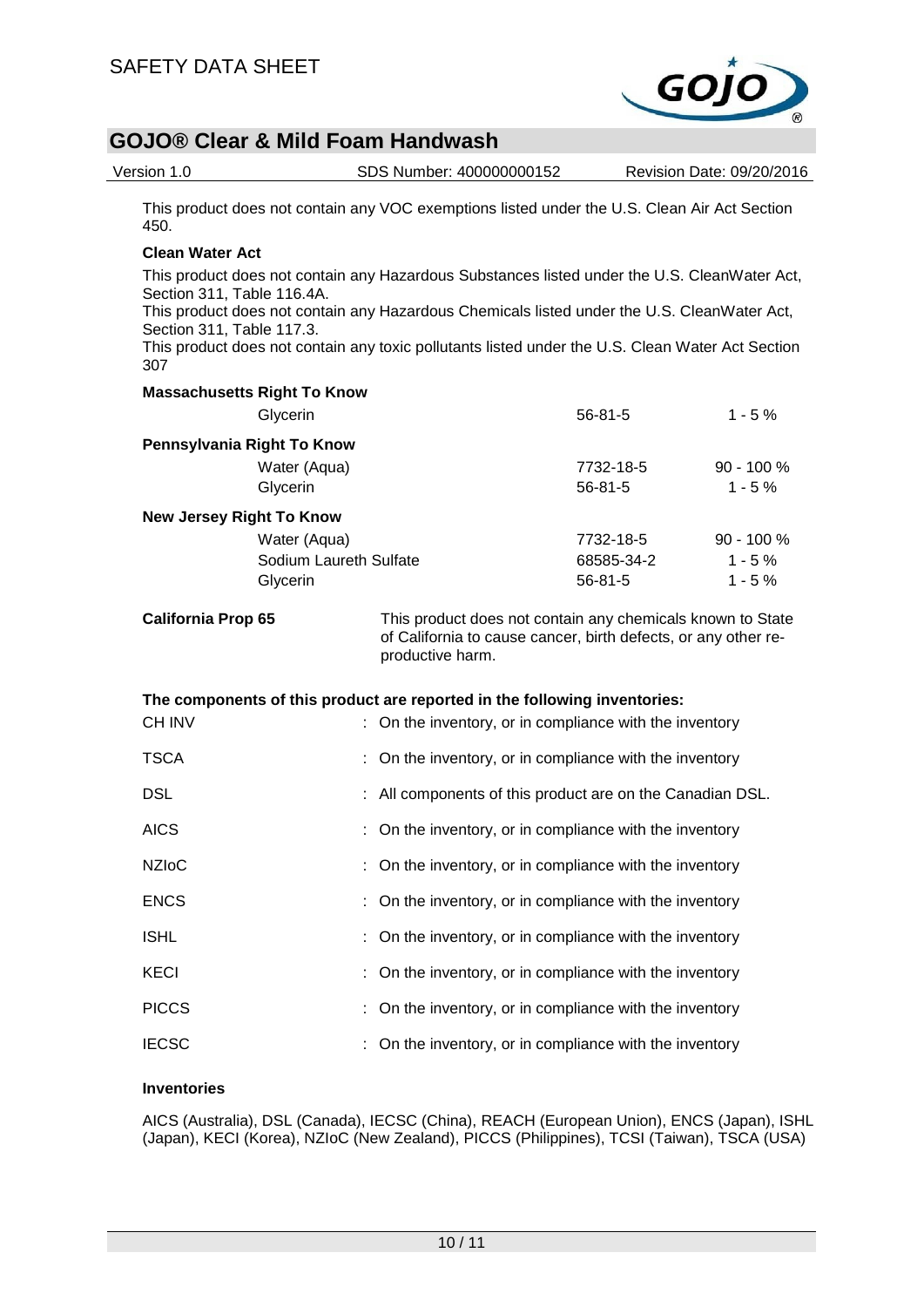

| Version 1.0                                                    |                                                                                                                                                  | SDS Number: 400000000152                                                                                                                                                                                                                                                                        |                                          | Revision Date: 09/20/2016 |                                    |  |  |
|----------------------------------------------------------------|--------------------------------------------------------------------------------------------------------------------------------------------------|-------------------------------------------------------------------------------------------------------------------------------------------------------------------------------------------------------------------------------------------------------------------------------------------------|------------------------------------------|---------------------------|------------------------------------|--|--|
| 450.                                                           |                                                                                                                                                  | This product does not contain any VOC exemptions listed under the U.S. Clean Air Act Section                                                                                                                                                                                                    |                                          |                           |                                    |  |  |
| <b>Clean Water Act</b>                                         |                                                                                                                                                  |                                                                                                                                                                                                                                                                                                 |                                          |                           |                                    |  |  |
| Section 311, Table 116.4A.<br>Section 311, Table 117.3.<br>307 |                                                                                                                                                  | This product does not contain any Hazardous Substances listed under the U.S. CleanWater Act,<br>This product does not contain any Hazardous Chemicals listed under the U.S. CleanWater Act,<br>This product does not contain any toxic pollutants listed under the U.S. Clean Water Act Section |                                          |                           |                                    |  |  |
|                                                                | <b>Massachusetts Right To Know</b>                                                                                                               |                                                                                                                                                                                                                                                                                                 |                                          |                           |                                    |  |  |
|                                                                | Glycerin                                                                                                                                         |                                                                                                                                                                                                                                                                                                 | 56-81-5                                  |                           | $1 - 5%$                           |  |  |
| Pennsylvania Right To Know                                     | Water (Aqua)<br>Glycerin                                                                                                                         |                                                                                                                                                                                                                                                                                                 | 7732-18-5<br>$56 - 81 - 5$               |                           | $90 - 100 %$<br>$1 - 5%$           |  |  |
| <b>New Jersey Right To Know</b>                                |                                                                                                                                                  |                                                                                                                                                                                                                                                                                                 |                                          |                           |                                    |  |  |
|                                                                | Water (Aqua)<br>Sodium Laureth Sulfate<br>Glycerin                                                                                               |                                                                                                                                                                                                                                                                                                 | 7732-18-5<br>68585-34-2<br>$56 - 81 - 5$ |                           | 90 - 100 %<br>$1 - 5%$<br>$1 - 5%$ |  |  |
| <b>California Prop 65</b>                                      | This product does not contain any chemicals known to State<br>of California to cause cancer, birth defects, or any other re-<br>productive harm. |                                                                                                                                                                                                                                                                                                 |                                          |                           |                                    |  |  |
| <b>CH INV</b>                                                  |                                                                                                                                                  | The components of this product are reported in the following inventories:<br>: On the inventory, or in compliance with the inventory                                                                                                                                                            |                                          |                           |                                    |  |  |
| <b>TSCA</b>                                                    |                                                                                                                                                  | : On the inventory, or in compliance with the inventory                                                                                                                                                                                                                                         |                                          |                           |                                    |  |  |
| <b>DSL</b>                                                     |                                                                                                                                                  | : All components of this product are on the Canadian DSL.                                                                                                                                                                                                                                       |                                          |                           |                                    |  |  |
| <b>AICS</b>                                                    |                                                                                                                                                  | : On the inventory, or in compliance with the inventory                                                                                                                                                                                                                                         |                                          |                           |                                    |  |  |
| <b>NZIoC</b>                                                   |                                                                                                                                                  | On the inventory, or in compliance with the inventory                                                                                                                                                                                                                                           |                                          |                           |                                    |  |  |
| <b>ENCS</b>                                                    |                                                                                                                                                  | On the inventory, or in compliance with the inventory                                                                                                                                                                                                                                           |                                          |                           |                                    |  |  |
| <b>ISHL</b>                                                    |                                                                                                                                                  | On the inventory, or in compliance with the inventory                                                                                                                                                                                                                                           |                                          |                           |                                    |  |  |
| <b>KECI</b>                                                    |                                                                                                                                                  | On the inventory, or in compliance with the inventory                                                                                                                                                                                                                                           |                                          |                           |                                    |  |  |
| <b>PICCS</b>                                                   |                                                                                                                                                  | On the inventory, or in compliance with the inventory                                                                                                                                                                                                                                           |                                          |                           |                                    |  |  |
| <b>IECSC</b>                                                   |                                                                                                                                                  | On the inventory, or in compliance with the inventory                                                                                                                                                                                                                                           |                                          |                           |                                    |  |  |
|                                                                |                                                                                                                                                  |                                                                                                                                                                                                                                                                                                 |                                          |                           |                                    |  |  |

### **Inventories**

AICS (Australia), DSL (Canada), IECSC (China), REACH (European Union), ENCS (Japan), ISHL (Japan), KECI (Korea), NZIoC (New Zealand), PICCS (Philippines), TCSI (Taiwan), TSCA (USA)